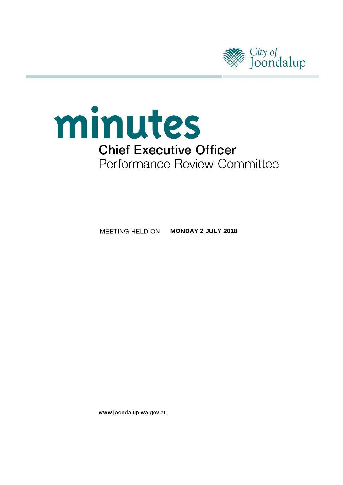



**MEETING HELD ON MONDAY 2 JULY 2018** 

www.joondalup.wa.gov.au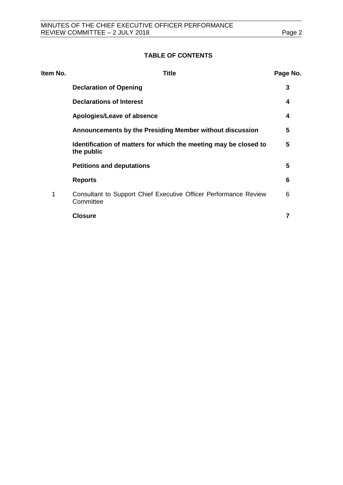## **TABLE OF CONTENTS**

| Item No. | Title                                                                          | Page No. |
|----------|--------------------------------------------------------------------------------|----------|
|          | <b>Declaration of Opening</b>                                                  | 3        |
|          | <b>Declarations of Interest</b>                                                | 4        |
|          | Apologies/Leave of absence                                                     | 4        |
|          | Announcements by the Presiding Member without discussion                       | 5        |
|          | Identification of matters for which the meeting may be closed to<br>the public | 5        |
|          | <b>Petitions and deputations</b>                                               | 5        |
|          | <b>Reports</b>                                                                 | 6        |
| 1        | Consultant to Support Chief Executive Officer Performance Review<br>Committee  | 6        |
|          | <b>Closure</b>                                                                 | 7        |
|          |                                                                                |          |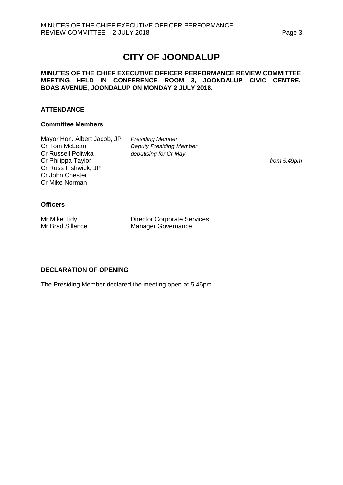# **CITY OF JOONDALUP**

## **MINUTES OF THE CHIEF EXECUTIVE OFFICER PERFORMANCE REVIEW COMMITTEE MEETING HELD IN CONFERENCE ROOM 3, JOONDALUP CIVIC CENTRE, BOAS AVENUE, JOONDALUP ON MONDAY 2 JULY 2018.**

## **ATTENDANCE**

## **Committee Members**

Mayor Hon. Albert Jacob, JP *Presiding Member* Cr Russell Poliwka *deputising for Cr May* Cr Philippa Taylor *from 5.49pm* Cr Russ Fishwick, JP Cr John Chester Cr Mike Norman

**Deputy Presiding Member** 

## **Officers**

Mr Mike Tidy **Director Corporate Services**<br>
Mr Brad Sillence **Manager Governance** Manager Governance

## <span id="page-2-0"></span>**DECLARATION OF OPENING**

The Presiding Member declared the meeting open at 5.46pm.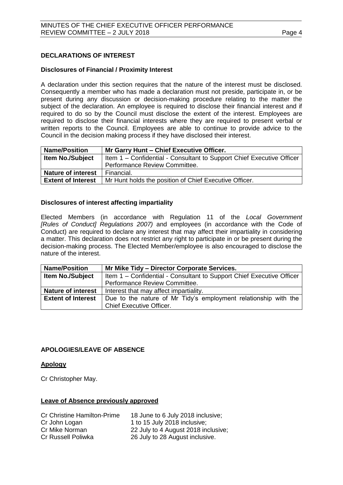## <span id="page-3-0"></span>**DECLARATIONS OF INTEREST**

## **Disclosures of Financial / Proximity Interest**

A declaration under this section requires that the nature of the interest must be disclosed. Consequently a member who has made a declaration must not preside, participate in, or be present during any discussion or decision-making procedure relating to the matter the subject of the declaration. An employee is required to disclose their financial interest and if required to do so by the Council must disclose the extent of the interest. Employees are required to disclose their financial interests where they are required to present verbal or written reports to the Council. Employees are able to continue to provide advice to the Council in the decision making process if they have disclosed their interest.

| <b>Name/Position</b>                                                                             | Mr Garry Hunt - Chief Executive Officer.               |
|--------------------------------------------------------------------------------------------------|--------------------------------------------------------|
| <b>Item No./Subject</b><br>Item 1 – Confidential - Consultant to Support Chief Executive Officer |                                                        |
|                                                                                                  | Performance Review Committee.                          |
| <b>Nature of interest</b>                                                                        | Financial.                                             |
| <b>Extent of Interest</b>                                                                        | Mr Hunt holds the position of Chief Executive Officer. |

#### **Disclosures of interest affecting impartiality**

Elected Members (in accordance with Regulation 11 of the *Local Government [Rules of Conduct] Regulations 2007)* and employees (in accordance with the Code of Conduct) are required to declare any interest that may affect their impartiality in considering a matter. This declaration does not restrict any right to participate in or be present during the decision-making process. The Elected Member/employee is also encouraged to disclose the nature of the interest.

| <b>Name/Position</b>      | Mr Mike Tidy - Director Corporate Services.                           |  |  |
|---------------------------|-----------------------------------------------------------------------|--|--|
| <b>Item No./Subject</b>   | Item 1 – Confidential - Consultant to Support Chief Executive Officer |  |  |
|                           | Performance Review Committee.                                         |  |  |
| <b>Nature of interest</b> | Interest that may affect impartiality.                                |  |  |
| <b>Extent of Interest</b> | Due to the nature of Mr Tidy's employment relationship with the       |  |  |
|                           | <b>Chief Executive Officer.</b>                                       |  |  |

## <span id="page-3-1"></span>**APOLOGIES/LEAVE OF ABSENCE**

## **Apology**

Cr Christopher May.

## **Leave of Absence previously approved**

<span id="page-3-2"></span>

| <b>Cr Christine Hamilton-Prime</b> | 18 June to 6 July 2018 inclusive;   |
|------------------------------------|-------------------------------------|
| Cr John Logan                      | 1 to 15 July 2018 inclusive;        |
| Cr Mike Norman                     | 22 July to 4 August 2018 inclusive; |
| Cr Russell Poliwka                 | 26 July to 28 August inclusive.     |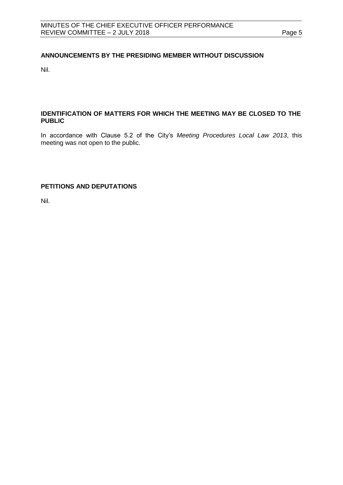## **ANNOUNCEMENTS BY THE PRESIDING MEMBER WITHOUT DISCUSSION**

Nil.

## <span id="page-4-0"></span>**IDENTIFICATION OF MATTERS FOR WHICH THE MEETING MAY BE CLOSED TO THE PUBLIC**

In accordance with Clause 5.2 of the City's *Meeting Procedures Local Law 2013*, this meeting was not open to the public.

## <span id="page-4-1"></span>**PETITIONS AND DEPUTATIONS**

Nil.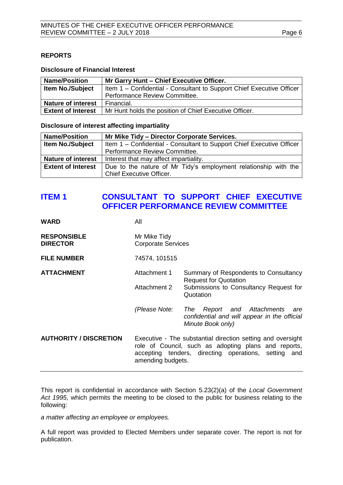## <span id="page-5-0"></span>**REPORTS**

#### **Disclosure of Financial Interest**

| <b>Name/Position</b>      | Mr Garry Hunt - Chief Executive Officer.                              |  |  |
|---------------------------|-----------------------------------------------------------------------|--|--|
| <b>Item No./Subject</b>   | Item 1 – Confidential - Consultant to Support Chief Executive Officer |  |  |
|                           | Performance Review Committee.                                         |  |  |
| <b>Nature of interest</b> | Financial.                                                            |  |  |
| <b>Extent of Interest</b> | Mr Hunt holds the position of Chief Executive Officer.                |  |  |

#### **Disclosure of interest affecting impartiality**

| <b>Name/Position</b>      | Mr Mike Tidy - Director Corporate Services.                           |  |  |
|---------------------------|-----------------------------------------------------------------------|--|--|
| <b>Item No./Subject</b>   | Item 1 – Confidential - Consultant to Support Chief Executive Officer |  |  |
|                           | Performance Review Committee.                                         |  |  |
| <b>Nature of interest</b> | Interest that may affect impartiality.                                |  |  |
| <b>Extent of Interest</b> | Due to the nature of Mr Tidy's employment relationship with the       |  |  |
|                           | <b>Chief Executive Officer.</b>                                       |  |  |

## **ITEM 1 CONSULTANT TO SUPPORT CHIEF EXECUTIVE OFFICER PERFORMANCE REVIEW COMMITTEE**

| WARD                                  | All                                                                                                                                                                                              |                                                                                                                  |  |
|---------------------------------------|--------------------------------------------------------------------------------------------------------------------------------------------------------------------------------------------------|------------------------------------------------------------------------------------------------------------------|--|
| <b>RESPONSIBLE</b><br><b>DIRECTOR</b> | Mr Mike Tidy<br><b>Corporate Services</b>                                                                                                                                                        |                                                                                                                  |  |
| <b>FILE NUMBER</b>                    | 74574, 101515                                                                                                                                                                                    |                                                                                                                  |  |
| <b>ATTACHMENT</b>                     | Attachment 1                                                                                                                                                                                     | Summary of Respondents to Consultancy<br><b>Request for Quotation</b>                                            |  |
|                                       | Attachment 2                                                                                                                                                                                     | Submissions to Consultancy Request for<br>Quotation                                                              |  |
|                                       | (Please Note:                                                                                                                                                                                    | Report and Attachments<br><b>The</b><br>are<br>confidential and will appear in the official<br>Minute Book only) |  |
| <b>AUTHORITY / DISCRETION</b>         | Executive - The substantial direction setting and oversight<br>role of Council, such as adopting plans and reports,<br>accepting tenders, directing operations, setting and<br>amending budgets. |                                                                                                                  |  |

This report is confidential in accordance with Section 5.23(2)(a) of the *Local Government Act 1995*, which permits the meeting to be closed to the public for business relating to the following:

*a matter affecting an employee or employees.*

A full report was provided to Elected Members under separate cover. The report is not for publication.